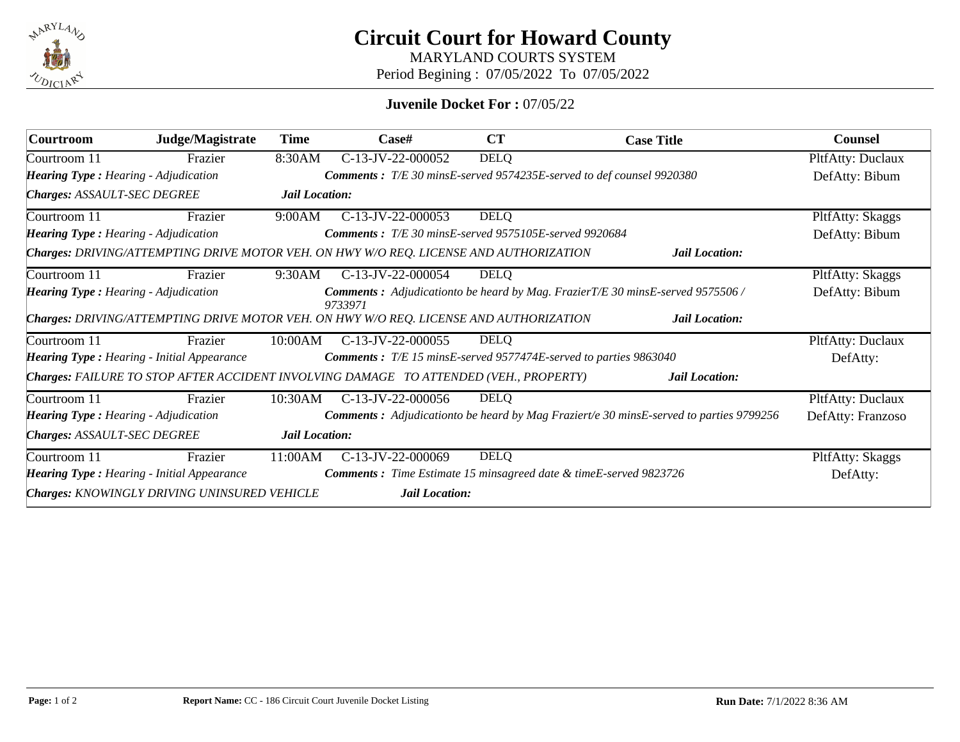

**Circuit Court for Howard County**

MARYLAND COURTS SYSTEM

Period Begining : 07/05/2022 To 07/05/2022

## **Juvenile Docket For :** 07/05/22

| <b>Courtroom</b>                                                                       | Judge/Magistrate | Time                                                                         | $\bf Case \#$                                         | <b>CT</b>   | <b>Case Title</b>                                                                       | <b>Counsel</b>    |  |  |  |
|----------------------------------------------------------------------------------------|------------------|------------------------------------------------------------------------------|-------------------------------------------------------|-------------|-----------------------------------------------------------------------------------------|-------------------|--|--|--|
| Courtroom 11                                                                           | Frazier          | 8:30AM                                                                       | C-13-JV-22-000052                                     | <b>DELQ</b> |                                                                                         | PltfAtty: Duclaux |  |  |  |
| <b>Hearing Type: Hearing - Adjudication</b>                                            |                  | <b>Comments</b> : T/E 30 minsE-served 9574235E-served to def counsel 9920380 | DefAtty: Bibum                                        |             |                                                                                         |                   |  |  |  |
| <b>Charges: ASSAULT-SEC DEGREE</b>                                                     |                  | Jail Location:                                                               |                                                       |             |                                                                                         |                   |  |  |  |
| Courtroom 11                                                                           | Frazier          | 9:00AM                                                                       | $C-13-JV-22-000053$                                   | <b>DELQ</b> |                                                                                         | PltfAtty: Skaggs  |  |  |  |
| <b>Hearing Type:</b> Hearing - Adjudication                                            |                  |                                                                              | Comments: T/E 30 minsE-served 9575105E-served 9920684 |             |                                                                                         | DefAtty: Bibum    |  |  |  |
| Charges: DRIVING/ATTEMPTING DRIVE MOTOR VEH. ON HWY W/O REQ. LICENSE AND AUTHORIZATION |                  |                                                                              |                                                       |             |                                                                                         |                   |  |  |  |
| Courtroom 11                                                                           | Frazier          | 9:30AM                                                                       | C-13-JV-22-000054                                     | <b>DELQ</b> |                                                                                         | PltfAtty: Skaggs  |  |  |  |
| <b>Hearing Type:</b> Hearing - Adjudication                                            |                  |                                                                              | 9733971                                               |             | Comments : Adjudicationto be heard by Mag. FrazierT/E 30 minsE-served 9575506 /         | DefAtty: Bibum    |  |  |  |
| Charges: DRIVING/ATTEMPTING DRIVE MOTOR VEH. ON HWY W/O REQ. LICENSE AND AUTHORIZATION |                  |                                                                              |                                                       |             |                                                                                         |                   |  |  |  |
| Courtroom 11                                                                           | Frazier          | 10:00AM                                                                      | $C-13-JV-22-000055$                                   | <b>DELQ</b> |                                                                                         | PltfAtty: Duclaux |  |  |  |
| <b>Hearing Type: Hearing - Initial Appearance</b>                                      |                  |                                                                              |                                                       |             | <b>Comments :</b> T/E 15 minsE-served 9577474E-served to parties 9863040                | DefAtty:          |  |  |  |
| Charges: FAILURE TO STOP AFTER ACCIDENT INVOLVING DAMAGE TO ATTENDED (VEH., PROPERTY)  |                  |                                                                              |                                                       |             |                                                                                         |                   |  |  |  |
| Courtroom 11                                                                           | Frazier          | 10:30AM                                                                      | $C-13-JV-22-000056$                                   | <b>DELQ</b> |                                                                                         | PltfAtty: Duclaux |  |  |  |
| <b>Hearing Type: Hearing - Adjudication</b>                                            |                  |                                                                              |                                                       |             | Comments : Adjudicationto be heard by Mag Fraziert/e 30 minsE-served to parties 9799256 | DefAtty: Franzoso |  |  |  |
| <b>Charges: ASSAULT-SEC DEGREE</b>                                                     |                  | Jail Location:                                                               |                                                       |             |                                                                                         |                   |  |  |  |
| Courtroom 11                                                                           | Frazier          | 11:00AM                                                                      | C-13-JV-22-000069                                     | DELQ        |                                                                                         | PltfAtty: Skaggs  |  |  |  |
| <b>Hearing Type: Hearing - Initial Appearance</b>                                      |                  |                                                                              |                                                       |             | <b>Comments</b> : Time Estimate 15 minsagreed date & timeE-served 9823726               | DefAtty:          |  |  |  |
| Charges: KNOWINGLY DRIVING UNINSURED VEHICLE<br><b>Jail Location:</b>                  |                  |                                                                              |                                                       |             |                                                                                         |                   |  |  |  |